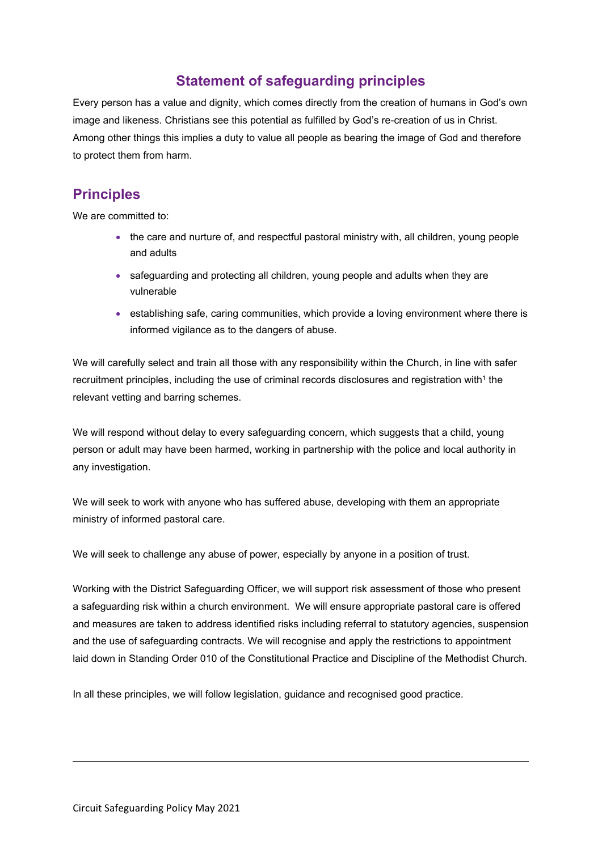# **Statement of safeguarding principles**

Every person has a value and dignity, which comes directly from the creation of humans in God's own image and likeness. Christians see this potential as fulfilled by God's re-creation of us in Christ. Among other things this implies a duty to value all people as bearing the image of God and therefore to protect them from harm.

# **Principles**

We are committed to:

- the care and nurture of, and respectful pastoral ministry with, all children, young people and adults
- safeguarding and protecting all children, young people and adults when they are vulnerable
- establishing safe, caring communities, which provide a loving environment where there is informed vigilance as to the dangers of abuse.

We will carefully select and train all those with any responsibility within the Church, in line with safer recruitment principles, including the use of criminal records disclosures and registration with $^1$  $^1$  the relevant vetting and barring schemes.

We will respond without delay to every safeguarding concern, which suggests that a child, young person or adult may have been harmed, working in partnership with the police and local authority in any investigation.

We will seek to work with anyone who has suffered abuse, developing with them an appropriate ministry of informed pastoral care.

We will seek to challenge any abuse of power, especially by anyone in a position of trust.

Working with the District Safeguarding Officer, we will support risk assessment of those who present a safeguarding risk within a church environment. We will ensure appropriate pastoral care is offered and measures are taken to address identified risks including referral to statutory agencies, suspension and the use of safeguarding contracts. We will recognise and apply the restrictions to appointment laid down in Standing Order 010 of the Constitutional Practice and Discipline of the Methodist Church.

<span id="page-0-0"></span>In all these principles, we will follow legislation, guidance and recognised good practice.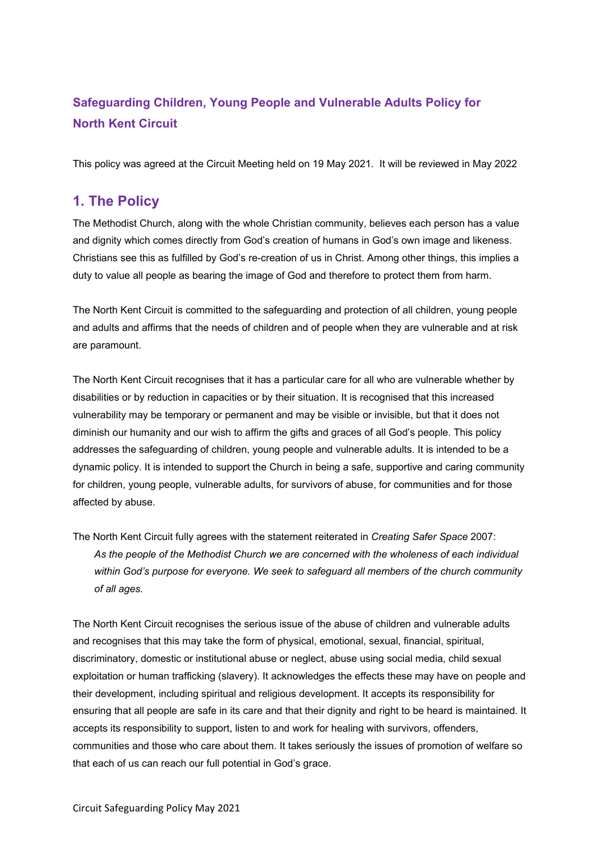# **Safeguarding Children, Young People and Vulnerable Adults Policy for North Kent Circuit**

This policy was agreed at the Circuit Meeting held on 19 May 2021. It will be reviewed in May 2022

# **1. The Policy**

The Methodist Church, along with the whole Christian community, believes each person has a value and dignity which comes directly from God's creation of humans in God's own image and likeness. Christians see this as fulfilled by God's re-creation of us in Christ. Among other things, this implies a duty to value all people as bearing the image of God and therefore to protect them from harm.

The North Kent Circuit is committed to the safeguarding and protection of all children, young people and adults and affirms that the needs of children and of people when they are vulnerable and at risk are paramount.

The North Kent Circuit recognises that it has a particular care for all who are vulnerable whether by disabilities or by reduction in capacities or by their situation. It is recognised that this increased vulnerability may be temporary or permanent and may be visible or invisible, but that it does not diminish our humanity and our wish to affirm the gifts and graces of all God's people. This policy addresses the safeguarding of children, young people and vulnerable adults. It is intended to be a dynamic policy. It is intended to support the Church in being a safe, supportive and caring community for children, young people, vulnerable adults, for survivors of abuse, for communities and for those affected by abuse.

The North Kent Circuit fully agrees with the statement reiterated in *Creating Safer Space* 2007: *As the people of the Methodist Church we are concerned with the wholeness of each individual within God's purpose for everyone. We seek to safeguard all members of the church community of all ages.*

The North Kent Circuit recognises the serious issue of the abuse of children and vulnerable adults and recognises that this may take the form of physical, emotional, sexual, financial, spiritual, discriminatory, domestic or institutional abuse or neglect, abuse using social media, child sexual exploitation or human trafficking (slavery). It acknowledges the effects these may have on people and their development, including spiritual and religious development. It accepts its responsibility for ensuring that all people are safe in its care and that their dignity and right to be heard is maintained. It accepts its responsibility to support, listen to and work for healing with survivors, offenders, communities and those who care about them. It takes seriously the issues of promotion of welfare so that each of us can reach our full potential in God's grace.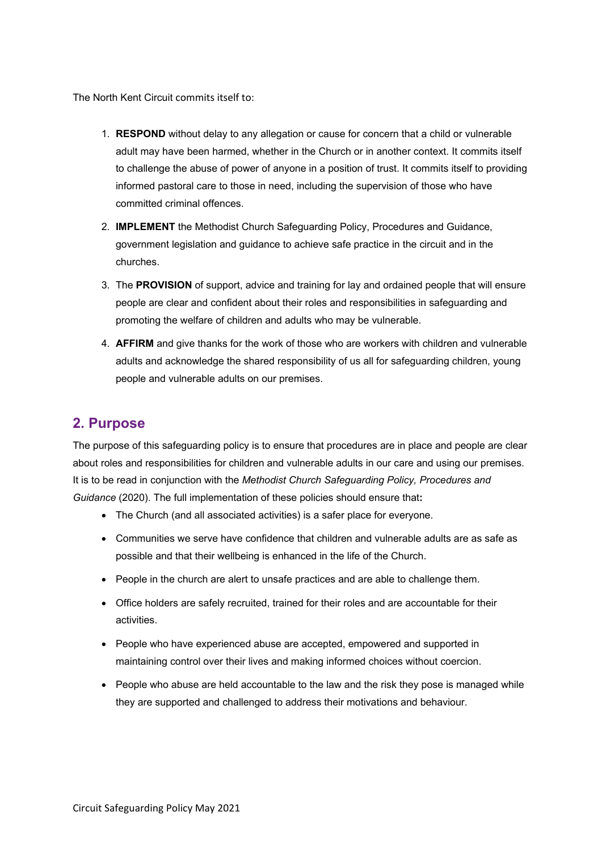The North Kent Circuit commits itself to:

- 1. **RESPOND** without delay to any allegation or cause for concern that a child or vulnerable adult may have been harmed, whether in the Church or in another context. It commits itself to challenge the abuse of power of anyone in a position of trust. It commits itself to providing informed pastoral care to those in need, including the supervision of those who have committed criminal offences.
- 2. **IMPLEMENT** the Methodist Church Safeguarding Policy, Procedures and Guidance, government legislation and guidance to achieve safe practice in the circuit and in the churches.
- 3. The **PROVISION** of support, advice and training for lay and ordained people that will ensure people are clear and confident about their roles and responsibilities in safeguarding and promoting the welfare of children and adults who may be vulnerable.
- 4. **AFFIRM** and give thanks for the work of those who are workers with children and vulnerable adults and acknowledge the shared responsibility of us all for safeguarding children, young people and vulnerable adults on our premises.

# **2. Purpose**

The purpose of this safeguarding policy is to ensure that procedures are in place and people are clear about roles and responsibilities for children and vulnerable adults in our care and using our premises. It is to be read in conjunction with the *Methodist Church Safeguarding Policy, Procedures and Guidance* (2020). The full implementation of these policies should ensure that**:**

- The Church (and all associated activities) is a safer place for everyone.
- Communities we serve have confidence that children and vulnerable adults are as safe as possible and that their wellbeing is enhanced in the life of the Church.
- People in the church are alert to unsafe practices and are able to challenge them.
- Office holders are safely recruited, trained for their roles and are accountable for their activities.
- People who have experienced abuse are accepted, empowered and supported in maintaining control over their lives and making informed choices without coercion.
- People who abuse are held accountable to the law and the risk they pose is managed while they are supported and challenged to address their motivations and behaviour.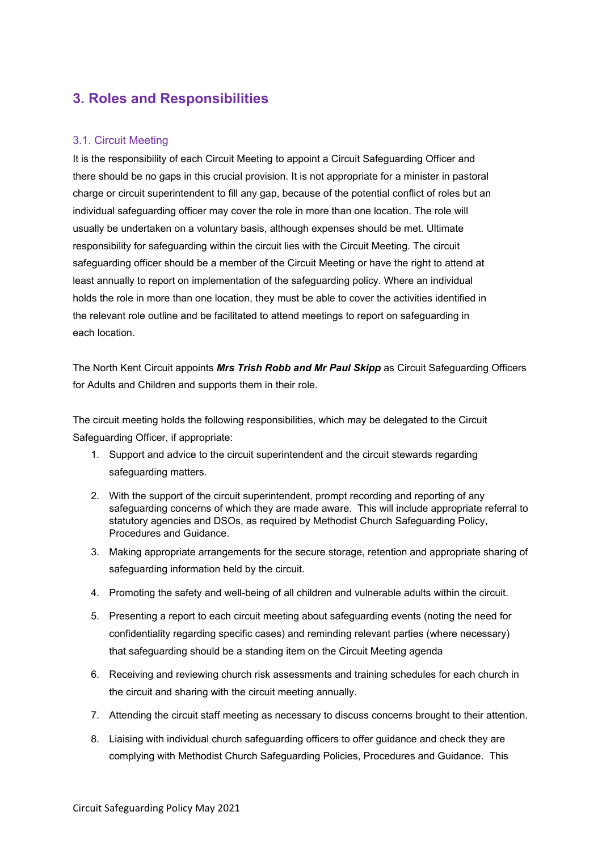# **3. Roles and Responsibilities**

#### 3.1. Circuit Meeting

It is the responsibility of each Circuit Meeting to appoint a Circuit Safeguarding Officer and there should be no gaps in this crucial provision. It is not appropriate for a minister in pastoral charge or circuit superintendent to fill any gap, because of the potential conflict of roles but an individual safeguarding officer may cover the role in more than one location. The role will usually be undertaken on a voluntary basis, although expenses should be met. Ultimate responsibility for safeguarding within the circuit lies with the Circuit Meeting. The circuit safeguarding officer should be a member of the Circuit Meeting or have the right to attend at least annually to report on implementation of the safeguarding policy. Where an individual holds the role in more than one location, they must be able to cover the activities identified in the relevant role outline and be facilitated to attend meetings to report on safeguarding in each location.

The North Kent Circuit appoints *Mrs Trish Robb and Mr Paul Skipp* as Circuit Safeguarding Officers for Adults and Children and supports them in their role.

The circuit meeting holds the following responsibilities, which may be delegated to the Circuit Safeguarding Officer, if appropriate:

- 1. Support and advice to the circuit superintendent and the circuit stewards regarding safeguarding matters.
- 2. With the support of the circuit superintendent, prompt recording and reporting of any safeguarding concerns of which they are made aware. This will include appropriate referral to statutory agencies and DSOs, as required by Methodist Church Safeguarding Policy, Procedures and Guidance.
- 3. Making appropriate arrangements for the secure storage, retention and appropriate sharing of safeguarding information held by the circuit.
- 4. Promoting the safety and well-being of all children and vulnerable adults within the circuit.
- 5. Presenting a report to each circuit meeting about safeguarding events (noting the need for confidentiality regarding specific cases) and reminding relevant parties (where necessary) that safeguarding should be a standing item on the Circuit Meeting agenda
- 6. Receiving and reviewing church risk assessments and training schedules for each church in the circuit and sharing with the circuit meeting annually.
- 7. Attending the circuit staff meeting as necessary to discuss concerns brought to their attention.
- 8. Liaising with individual church safeguarding officers to offer guidance and check they are complying with Methodist Church Safeguarding Policies, Procedures and Guidance. This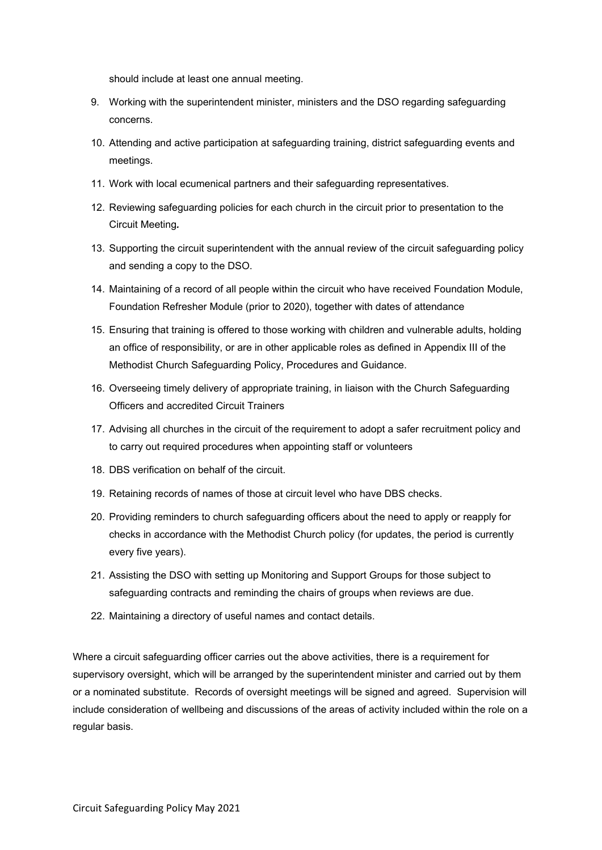should include at least one annual meeting.

- 9. Working with the superintendent minister, ministers and the DSO regarding safeguarding concerns.
- 10. Attending and active participation at safeguarding training, district safeguarding events and meetings.
- 11. Work with local ecumenical partners and their safeguarding representatives.
- 12. Reviewing safeguarding policies for each church in the circuit prior to presentation to the Circuit Meeting*.*
- 13. Supporting the circuit superintendent with the annual review of the circuit safeguarding policy and sending a copy to the DSO.
- 14. Maintaining of a record of all people within the circuit who have received Foundation Module, Foundation Refresher Module (prior to 2020), together with dates of attendance
- 15. Ensuring that training is offered to those working with children and vulnerable adults, holding an office of responsibility, or are in other applicable roles as defined in Appendix III of the Methodist Church Safeguarding Policy, Procedures and Guidance.
- 16. Overseeing timely delivery of appropriate training, in liaison with the Church Safeguarding Officers and accredited Circuit Trainers
- 17. Advising all churches in the circuit of the requirement to adopt a safer recruitment policy and to carry out required procedures when appointing staff or volunteers
- 18. DBS verification on behalf of the circuit.
- 19. Retaining records of names of those at circuit level who have DBS checks.
- 20. Providing reminders to church safeguarding officers about the need to apply or reapply for checks in accordance with the Methodist Church policy (for updates, the period is currently every five years).
- 21. Assisting the DSO with setting up Monitoring and Support Groups for those subject to safeguarding contracts and reminding the chairs of groups when reviews are due.
- 22. Maintaining a directory of useful names and contact details.

Where a circuit safeguarding officer carries out the above activities, there is a requirement for supervisory oversight, which will be arranged by the superintendent minister and carried out by them or a nominated substitute. Records of oversight meetings will be signed and agreed. Supervision will include consideration of wellbeing and discussions of the areas of activity included within the role on a regular basis.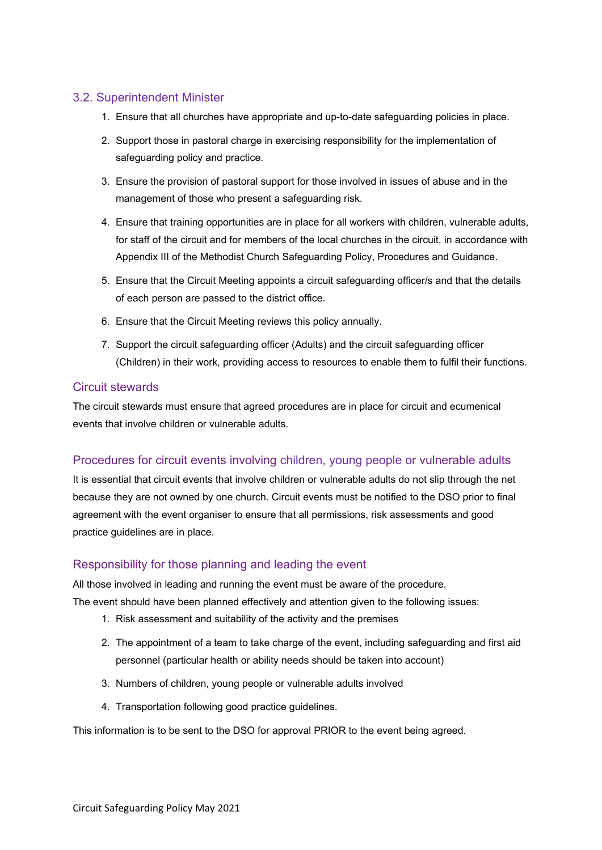## 3.2. Superintendent Minister

- 1. Ensure that all churches have appropriate and up-to-date safeguarding policies in place.
- 2. Support those in pastoral charge in exercising responsibility for the implementation of safeguarding policy and practice.
- 3. Ensure the provision of pastoral support for those involved in issues of abuse and in the management of those who present a safeguarding risk.
- 4. Ensure that training opportunities are in place for all workers with children, vulnerable adults, for staff of the circuit and for members of the local churches in the circuit, in accordance with Appendix III of the Methodist Church Safeguarding Policy, Procedures and Guidance.
- 5. Ensure that the Circuit Meeting appoints a circuit safeguarding officer/s and that the details of each person are passed to the district office.
- 6. Ensure that the Circuit Meeting reviews this policy annually.
- 7. Support the circuit safeguarding officer (Adults) and the circuit safeguarding officer (Children) in their work, providing access to resources to enable them to fulfil their functions.

### Circuit stewards

The circuit stewards must ensure that agreed procedures are in place for circuit and ecumenical events that involve children or vulnerable adults.

## Procedures for circuit events involving children, young people or vulnerable adults

It is essential that circuit events that involve children or vulnerable adults do not slip through the net because they are not owned by one church. Circuit events must be notified to the DSO prior to final agreement with the event organiser to ensure that all permissions, risk assessments and good practice guidelines are in place.

## Responsibility for those planning and leading the event

All those involved in leading and running the event must be aware of the procedure.

The event should have been planned effectively and attention given to the following issues:

- 1. Risk assessment and suitability of the activity and the premises
- 2. The appointment of a team to take charge of the event, including safeguarding and first aid personnel (particular health or ability needs should be taken into account)
- 3. Numbers of children, young people or vulnerable adults involved
- 4. Transportation following good practice guidelines.

This information is to be sent to the DSO for approval PRIOR to the event being agreed.